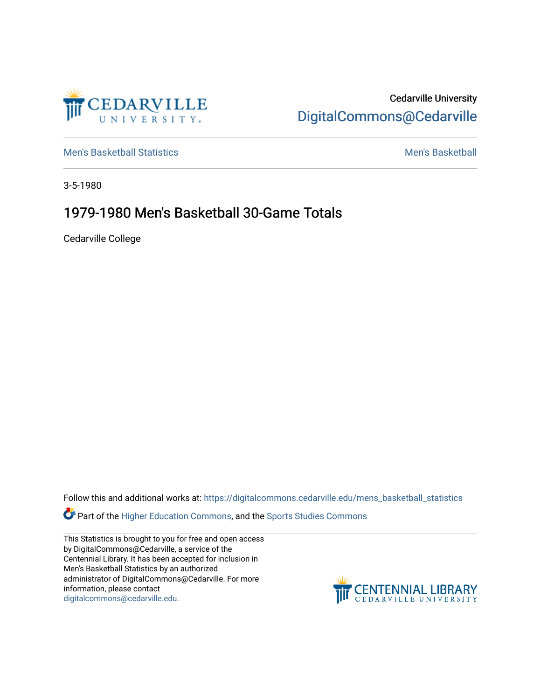

Cedarville University [DigitalCommons@Cedarville](https://digitalcommons.cedarville.edu/) 

[Men's Basketball Statistics](https://digitalcommons.cedarville.edu/mens_basketball_statistics) [Men's Basketball](https://digitalcommons.cedarville.edu/mens_basketball) 

3-5-1980

## 1979-1980 Men's Basketball 30-Game Totals

Cedarville College

Follow this and additional works at: [https://digitalcommons.cedarville.edu/mens\\_basketball\\_statistics](https://digitalcommons.cedarville.edu/mens_basketball_statistics?utm_source=digitalcommons.cedarville.edu%2Fmens_basketball_statistics%2F287&utm_medium=PDF&utm_campaign=PDFCoverPages) 

**Part of the [Higher Education Commons,](http://network.bepress.com/hgg/discipline/1245?utm_source=digitalcommons.cedarville.edu%2Fmens_basketball_statistics%2F287&utm_medium=PDF&utm_campaign=PDFCoverPages) and the Sports Studies Commons** 

This Statistics is brought to you for free and open access by DigitalCommons@Cedarville, a service of the Centennial Library. It has been accepted for inclusion in Men's Basketball Statistics by an authorized administrator of DigitalCommons@Cedarville. For more information, please contact [digitalcommons@cedarville.edu](mailto:digitalcommons@cedarville.edu).